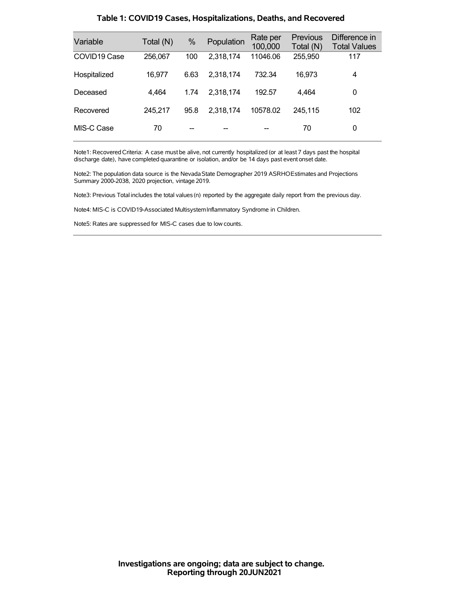| Variable                 | Total (N) | %    | Population | Rate per<br>100,000 | <b>Previous</b><br>Total (N) | Difference in<br><b>Total Values</b> |
|--------------------------|-----------|------|------------|---------------------|------------------------------|--------------------------------------|
| COVID <sub>19</sub> Case | 256,067   | 100  | 2,318,174  | 11046.06            | 255,950                      | 117                                  |
| Hospitalized             | 16,977    | 6.63 | 2,318,174  | 732.34              | 16,973                       | 4                                    |
| Deceased                 | 4,464     | 1.74 | 2,318,174  | 192.57              | 4,464                        | 0                                    |
| Recovered                | 245.217   | 95.8 | 2,318,174  | 10578.02            | 245.115                      | 102                                  |
| MIS-C Case               | 70        |      |            |                     | 70                           | 0                                    |

### **Table 1: COVID19 Cases, Hospitalizations, Deaths, and Recovered**

Note1: Recovered Criteria: A case must be alive, not currently hospitalized (or at least 7 days past the hospital discharge date), have completed quarantine or isolation, and/or be 14 days past event onset date.

Note2: The population data source is the Nevada State Demographer 2019 ASRHOEstimates and Projections Summary 2000-2038, 2020 projection, vintage 2019.

Note3: Previous Total includes the total values(n) reported by the aggregate daily report from the previous day.

Note4: MIS-C is COVID19-Associated MultisystemInflammatory Syndrome in Children.

Note5: Rates are suppressed for MIS-C cases due to low counts.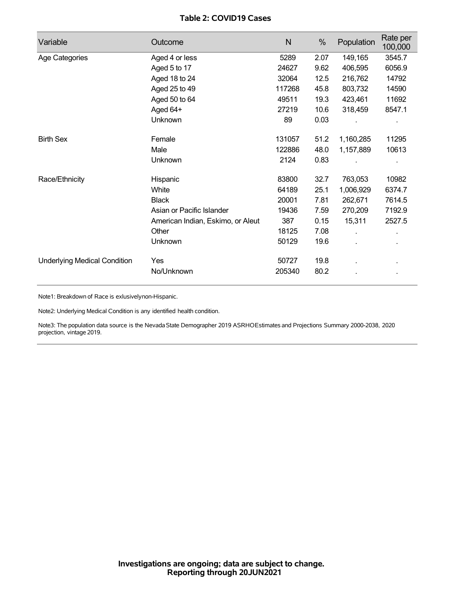## **Table 2: COVID19 Cases**

| Variable                            | Outcome                           | $\mathsf{N}$ | %    | Population     | Rate per<br>100,000 |
|-------------------------------------|-----------------------------------|--------------|------|----------------|---------------------|
| Age Categories                      | Aged 4 or less                    | 5289         | 2.07 | 149,165        | 3545.7              |
|                                     | Aged 5 to 17                      | 24627        | 9.62 | 406,595        | 6056.9              |
|                                     | Aged 18 to 24                     | 32064        | 12.5 | 216,762        | 14792               |
|                                     | Aged 25 to 49                     | 117268       | 45.8 | 803,732        | 14590               |
|                                     | Aged 50 to 64                     | 49511        | 19.3 | 423,461        | 11692               |
|                                     | Aged 64+                          | 27219        | 10.6 | 318,459        | 8547.1              |
|                                     | Unknown                           | 89           | 0.03 |                |                     |
| <b>Birth Sex</b>                    | Female                            | 131057       | 51.2 | 1,160,285      | 11295               |
|                                     | Male                              | 122886       | 48.0 | 1,157,889      | 10613               |
|                                     | Unknown                           | 2124         | 0.83 |                |                     |
| Race/Ethnicity                      | Hispanic                          | 83800        | 32.7 | 763,053        | 10982               |
|                                     | White                             | 64189        | 25.1 | 1,006,929      | 6374.7              |
|                                     | <b>Black</b>                      | 20001        | 7.81 | 262,671        | 7614.5              |
|                                     | Asian or Pacific Islander         | 19436        | 7.59 | 270,209        | 7192.9              |
|                                     | American Indian, Eskimo, or Aleut | 387          | 0.15 | 15,311         | 2527.5              |
|                                     | Other                             | 18125        | 7.08 | ÷.             | ä,                  |
|                                     | Unknown                           | 50129        | 19.6 | $\blacksquare$ |                     |
| <b>Underlying Medical Condition</b> | Yes                               | 50727        | 19.8 |                |                     |
|                                     | No/Unknown                        | 205340       | 80.2 |                |                     |

Note1: Breakdown of Race is exlusivelynon-Hispanic.

Note2: Underlying Medical Condition is any identified health condition.

Note3: The population data source is the NevadaState Demographer 2019 ASRHOEstimates and Projections Summary 2000-2038, 2020 projection, vintage 2019.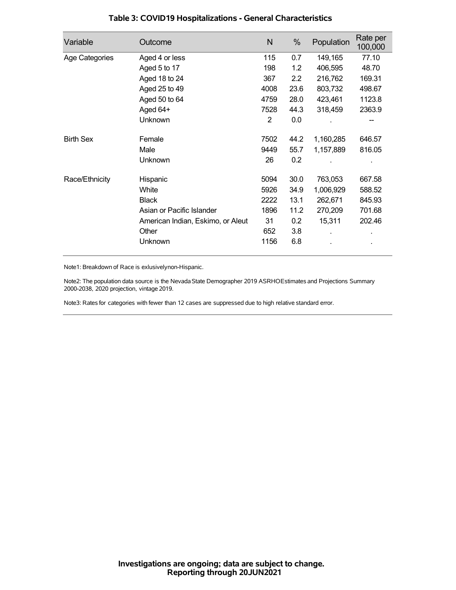| Variable         | Outcome                           | N              | %    | Population | Rate per<br>100,000 |
|------------------|-----------------------------------|----------------|------|------------|---------------------|
| Age Categories   | Aged 4 or less                    | 115            | 0.7  | 149,165    | 77.10               |
|                  | Aged 5 to 17                      | 198            | 1.2  | 406,595    | 48.70               |
|                  | Aged 18 to 24                     | 367            | 2.2  | 216,762    | 169.31              |
|                  | Aged 25 to 49                     | 4008           | 23.6 | 803,732    | 498.67              |
|                  | Aged 50 to 64                     | 4759           | 28.0 | 423,461    | 1123.8              |
|                  | Aged 64+                          | 7528           | 44.3 | 318,459    | 2363.9              |
|                  | Unknown                           | $\overline{2}$ | 0.0  |            |                     |
| <b>Birth Sex</b> | Female                            | 7502           | 44.2 | 1,160,285  | 646.57              |
|                  | Male                              | 9449           | 55.7 | 1,157,889  | 816.05              |
|                  | <b>Unknown</b>                    | 26             | 0.2  |            |                     |
| Race/Ethnicity   | Hispanic                          | 5094           | 30.0 | 763,053    | 667.58              |
|                  | White                             | 5926           | 34.9 | 1,006,929  | 588.52              |
|                  | <b>Black</b>                      | 2222           | 13.1 | 262,671    | 845.93              |
|                  | Asian or Pacific Islander         | 1896           | 11.2 | 270,209    | 701.68              |
|                  | American Indian, Eskimo, or Aleut | 31             | 0.2  | 15,311     | 202.46              |
|                  | Other                             | 652            | 3.8  |            |                     |
|                  | Unknown                           | 1156           | 6.8  |            |                     |

## **Table 3: COVID19 Hospitalizations - General Characteristics**

Note1: Breakdown of Race is exlusivelynon-Hispanic.

Note2: The population data source is the Nevada State Demographer 2019 ASRHOEstimates and Projections Summary 2000-2038, 2020 projection, vintage 2019.

Note3: Rates for categories with fewer than 12 cases are suppressed due to high relative standard error.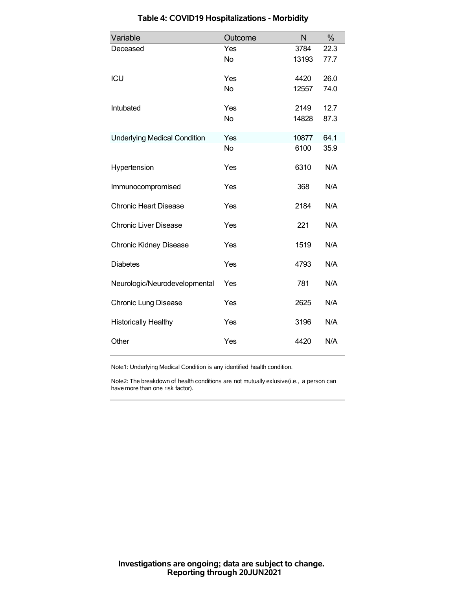| Variable                            | Outcome   | N     | %    |
|-------------------------------------|-----------|-------|------|
| Deceased                            | Yes       | 3784  | 22.3 |
|                                     | No        | 13193 | 77.7 |
| ICU                                 | Yes       | 4420  | 26.0 |
|                                     | <b>No</b> | 12557 | 74.0 |
| Intubated                           | Yes       | 2149  | 12.7 |
|                                     | <b>No</b> | 14828 | 87.3 |
| <b>Underlying Medical Condition</b> | Yes       | 10877 | 64.1 |
|                                     | <b>No</b> | 6100  | 35.9 |
| Hypertension                        | Yes       | 6310  | N/A  |
| Immunocompromised                   | Yes       | 368   | N/A  |
| <b>Chronic Heart Disease</b>        | Yes       | 2184  | N/A  |
| <b>Chronic Liver Disease</b>        | Yes       | 221   | N/A  |
| <b>Chronic Kidney Disease</b>       | Yes       | 1519  | N/A  |
| <b>Diabetes</b>                     | Yes       | 4793  | N/A  |
| Neurologic/Neurodevelopmental       | Yes       | 781   | N/A  |
| <b>Chronic Lung Disease</b>         | Yes       | 2625  | N/A  |
| <b>Historically Healthy</b>         | Yes       | 3196  | N/A  |
| Other                               | Yes       | 4420  | N/A  |

# **Table 4: COVID19 Hospitalizations - Morbidity**

Note1: Underlying Medical Condition is any identified health condition.

Note2: The breakdown of health conditions are not mutually exlusive(i.e., a person can have more than one risk factor).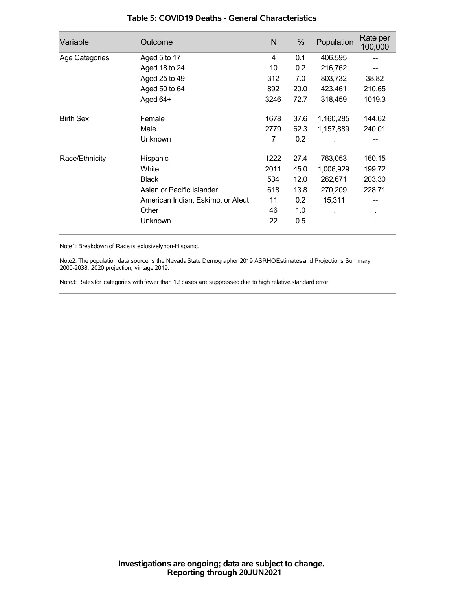| Variable         | Outcome                           | N    | %    | Population | Rate per<br>100,000 |
|------------------|-----------------------------------|------|------|------------|---------------------|
| Age Categories   | Aged 5 to 17                      | 4    | 0.1  | 406,595    |                     |
|                  | Aged 18 to 24                     | 10   | 0.2  | 216,762    |                     |
|                  | Aged 25 to 49                     | 312  | 7.0  | 803,732    | 38.82               |
|                  | Aged 50 to 64                     | 892  | 20.0 | 423,461    | 210.65              |
|                  | Aged 64+                          | 3246 | 72.7 | 318,459    | 1019.3              |
| <b>Birth Sex</b> | Female                            | 1678 | 37.6 | 1,160,285  | 144.62              |
|                  | Male                              | 2779 | 62.3 | 1,157,889  | 240.01              |
|                  | Unknown                           | 7    | 0.2  |            |                     |
| Race/Ethnicity   | Hispanic                          | 1222 | 27.4 | 763,053    | 160.15              |
|                  | White                             | 2011 | 45.0 | 1,006,929  | 199.72              |
|                  | <b>Black</b>                      | 534  | 12.0 | 262,671    | 203.30              |
|                  | Asian or Pacific Islander         | 618  | 13.8 | 270,209    | 228.71              |
|                  | American Indian, Eskimo, or Aleut | 11   | 0.2  | 15,311     |                     |
|                  | Other                             | 46   | 1.0  |            | $\blacksquare$      |
|                  | Unknown                           | 22   | 0.5  |            |                     |

### **Table 5: COVID19 Deaths - General Characteristics**

Note1: Breakdown of Race is exlusivelynon-Hispanic.

Note2: The population data source is the Nevada State Demographer 2019 ASRHOEstimates and Projections Summary 2000-2038, 2020 projection, vintage 2019.

Note3: Rates for categories with fewer than 12 cases are suppressed due to high relative standard error.